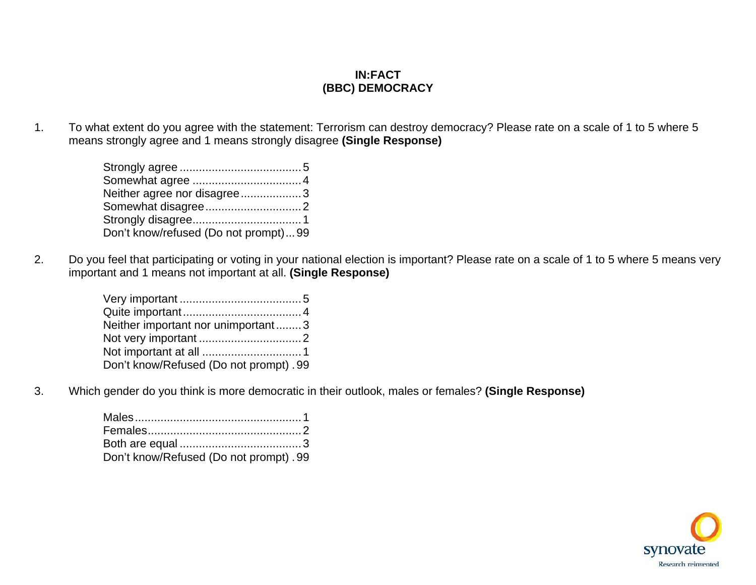# **IN:FACT (BBC) DEMOCRACY**

1. To what extent do you agree with the statement: Terrorism can destroy democracy? Please rate on a scale of 1 to 5 where 5 means strongly agree and 1 means strongly disagree **(Single Response)** 

| Neither agree nor disagree3          |  |
|--------------------------------------|--|
|                                      |  |
|                                      |  |
| Don't know/refused (Do not prompt)99 |  |

2. Do you feel that participating or voting in your national election is important? Please rate on a scale of 1 to 5 where 5 means very important and 1 means not important at all. **(Single Response)**

| Neither important nor unimportant3     |  |
|----------------------------------------|--|
|                                        |  |
|                                        |  |
| Don't know/Refused (Do not prompt). 99 |  |

3. Which gender do you think is more democratic in their outlook, males or females? **(Single Response)**

| Don't know/Refused (Do not prompt). 99 |  |
|----------------------------------------|--|

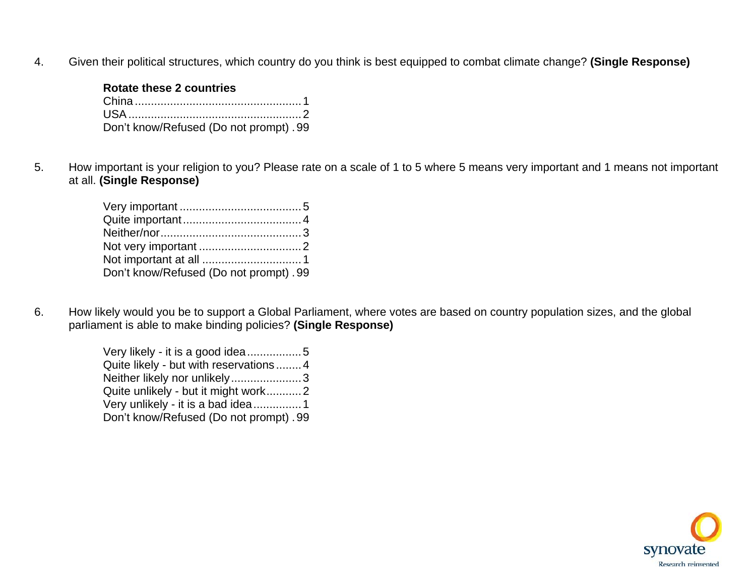4. Given their political structures, which country do you think is best equipped to combat climate change? **(Single Response)**

# **Rotate these 2 countries**

| Don't know/Refused (Do not prompt). 99 |
|----------------------------------------|

5. How important is your religion to you? Please rate on a scale of 1 to 5 where 5 means very important and 1 means not important at all. **(Single Response)**

| Don't know/Refused (Do not prompt). 99 |  |
|----------------------------------------|--|

6. How likely would you be to support a Global Parliament, where votes are based on country population sizes, and the global parliament is able to make binding policies? **(Single Response)**

> Very likely - it is a good idea.................5 Quite likely - but with reservations ........4 Neither likely nor unlikely........................3 Quite unlikely - but it might work...........2 Very unlikely - it is a bad idea...............1 Don't know/Refused (Do not prompt) .99

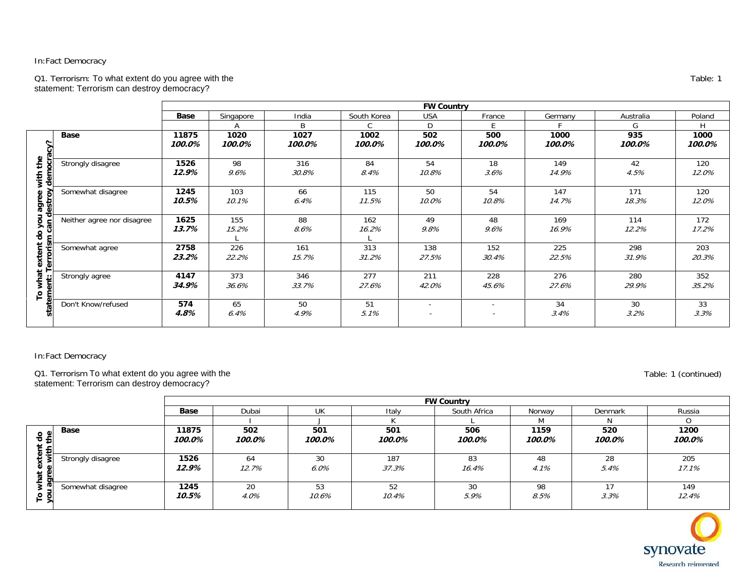#### Q1. Terrorism: To what extent do you agree with the statement: Terrorism can destroy democracy?

|                                                   |                            |                 |                |                |                | <b>FW Country</b>                          |                                    |                |               |                |
|---------------------------------------------------|----------------------------|-----------------|----------------|----------------|----------------|--------------------------------------------|------------------------------------|----------------|---------------|----------------|
|                                                   |                            | Base            | Singapore      | India          | South Korea    | <b>USA</b>                                 | France                             | Germany        | Australia     | Poland         |
|                                                   |                            |                 | А              | B              | C.             | D                                          | F.                                 |                | G             | H.             |
| Š<br>the<br>demo<br>with<br>agree<br>estroy<br>73 | <b>Base</b>                | 11875<br>100.0% | 1020<br>100.0% | 1027<br>100.0% | 1002<br>100.0% | 502<br>100.0%                              | 500<br>100.0%                      | 1000<br>100.0% | 935<br>100.0% | 1000<br>100.0% |
|                                                   | Strongly disagree          | 1526<br>12.9%   | 98<br>$9.6\%$  | 316<br>30.8%   | 84<br>8.4%     | 54<br>10.8%                                | 18<br>3.6%                         | 149<br>14.9%   | 42<br>4.5%    | 120<br>12.0%   |
|                                                   | Somewhat disagree          | 1245<br>10.5%   | 103<br>10.1%   | 66<br>$6.4\%$  | 115<br>11.5%   | 50<br>10.0%                                | 54<br>10.8%                        | 147<br>14.7%   | 171<br>18.3%  | 120<br>12.0%   |
| an d<br>응<br>$\mathbf{r}$                         | Neither agree nor disagree | 1625<br>13.7%   | 155<br>15.2%   | 88<br>8.6%     | 162<br>16.2%   | 49<br>9.8%                                 | 48<br>$9.6\%$                      | 169<br>16.9%   | 114<br>12.2%  | 172<br>17.2%   |
| extent<br>ē<br>កា                                 | Somewhat agree             | 2758<br>23.2%   | 226<br>22.2%   | 161<br>15.7%   | 313<br>31.2%   | 138<br>27.5%                               | 152<br>30.4%                       | 225<br>22.5%   | 298<br>31.9%  | 203<br>20.3%   |
| what<br>anti<br>ء                                 | Strongly agree             | 4147<br>34.9%   | 373<br>36.6%   | 346<br>33.7%   | 277<br>27.6%   | 211<br>42.0%                               | 228<br>45.6%                       | 276<br>27.6%   | 280<br>29.9%  | 352<br>35.2%   |
|                                                   | Don't Know/refused         | 574<br>4.8%     | 65<br>6.4%     | 50<br>4.9%     | 51<br>5.1%     | $\overline{\phantom{a}}$<br>$\overline{a}$ | $\sim$<br>$\overline{\phantom{a}}$ | 34<br>3.4%     | 30<br>3.2%    | 33<br>3.3%     |

## In:Fact Democracy

Q1. Terrorism To what extent do you agree with the statement: Terrorism can destroy democracy?

Table: 1 (continued)

|     |                   |             | <b>FW Country</b> |           |        |              |        |         |        |  |  |  |
|-----|-------------------|-------------|-------------------|-----------|--------|--------------|--------|---------|--------|--|--|--|
|     |                   | <b>Base</b> | Dubai             | <b>UK</b> | Italy  | South Africa | Norway | Denmark | Russia |  |  |  |
|     |                   |             |                   |           |        |              |        |         |        |  |  |  |
|     | Base              | 11875       | 502               | 501       | 501    | 506          | 1159   | 520     | 1200   |  |  |  |
| د ∗ |                   | 100.0%      | 100.0%            | 100.0%    | 100.0% | 100.0%       | 100.0% | 100.0%  | 100.0% |  |  |  |
|     |                   |             |                   |           |        |              |        |         |        |  |  |  |
|     | Strongly disagree | 1526        | 64                | 30        | 187    | 83           | 48     | 28      | 205    |  |  |  |
|     |                   | 12.9%       | 12.7%             | $6.0\%$   | 37.3%  | 16.4%        | 4.1%   | 5.4%    | 17.1%  |  |  |  |
|     |                   |             |                   |           |        |              |        |         |        |  |  |  |
|     | Somewhat disagree | 1245        | 20                | 53        | 52     | 30           | 98     | 17      | 149    |  |  |  |
|     |                   | 10.5%       | 4.0%              | 10.6%     | 10.4%  | 5.9%         | 8.5%   | 3.3%    | 12.4%  |  |  |  |
|     |                   |             |                   |           |        |              |        |         |        |  |  |  |



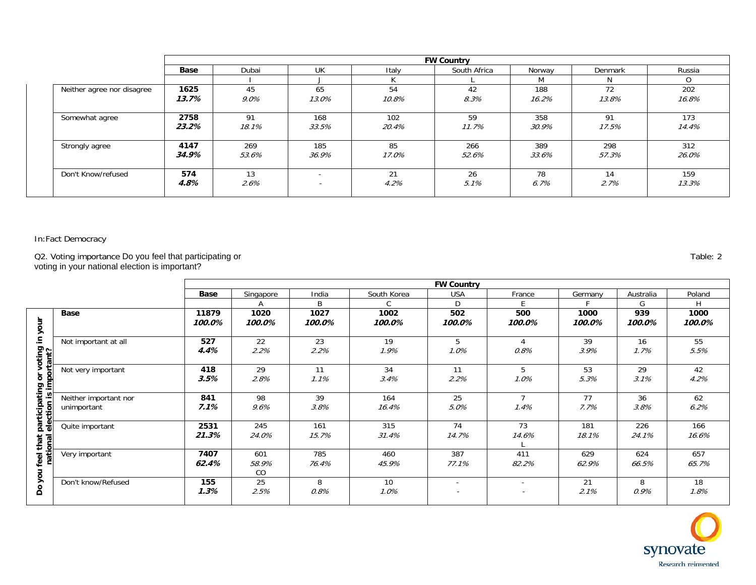|                            |               |               |              |                       | <b>FW Country</b> |              |              |              |  |
|----------------------------|---------------|---------------|--------------|-----------------------|-------------------|--------------|--------------|--------------|--|
|                            | Base          | Dubai         | <b>UK</b>    | South Africa<br>Italy |                   |              | Denmark      | Russia       |  |
|                            |               |               |              |                       |                   | M            | N.           | $\Omega$     |  |
| Neither agree nor disagree | 1625<br>13.7% | 45<br>$9.0\%$ | 65<br>13.0%  | 54<br>10.8%           | 42<br>8.3%        | 188<br>16.2% | 72<br>13.8%  | 202<br>16.8% |  |
| Somewhat agree             | 2758<br>23.2% | 91<br>18.1%   | 168<br>33.5% | 102<br>20.4%          | 59<br>11.7%       | 358<br>30.9% | 91<br>17.5%  | 173<br>14.4% |  |
| Strongly agree             | 4147<br>34.9% | 269<br>53.6%  | 185<br>36.9% | 85<br>17.0%           | 266<br>52.6%      | 389<br>33.6% | 298<br>57.3% | 312<br>26.0% |  |
| Don't Know/refused         | 574<br>4.8%   | 13<br>2.6%    |              | 21<br>4.2%            | 26<br>5.1%        | 78<br>6.7%   | 14<br>2.7%   | 159<br>13.3% |  |

Q2. Voting importance Do you feel that participating or voting in your national election is important?

**FW Country Base |** Singapore | India | South-Korea | USA | France | Germany | Australia | Poland AC D A | B | C D | E | F | G | H **11879Base1020 1027 1002 502 500 1000 939 1000 Do you feel that participating or voting in your**  feel that participating or voting in your<br>national election is important? **100.0% 100.0% 100.0% 100.0% 100.0% 100.0% 100.0% 100.0% 100.0%**  Not important at all **527**  22 23 19 5 4 39 16 55 2.2% 5.5% **4.4%**  2.2% 1.9% 1.0% 0.8% 3.9% 1.7% Not very important **418** 29 11 34 11 5 53 29 42 **3.5%**  2.8% 1.1% 3.4% 2.2% 1.0% 5.3% 3.1% 4.2% **national election is im 841** 98 39 164 25 7 77 36 62 Neither important nor unimportant 6.2% **7.1%**  9.6% 3.8% 16.4% 5.0% 1.4% 7.7% 3.8% Quite important **2531**  245 161 315 74 73 181 226 166 **21.3%**  24.0% 15.7% 31.4% 14.7% 14.6% 18.1% 24.1% 16.6% L Very important **7407**  657 460 601 785 387 411 629 624 65.7% **62.4%**  58.9% 76.4% 45.9% 77.1% 82.2% 62.9% 66.5% Do you 1 CO Don't know/Refused **155** 25 8 10 21 8 18 - - 0.9% 1.8% **1.3%**  2.5% 0.8% 1.0% - - 2.1%



Table: 2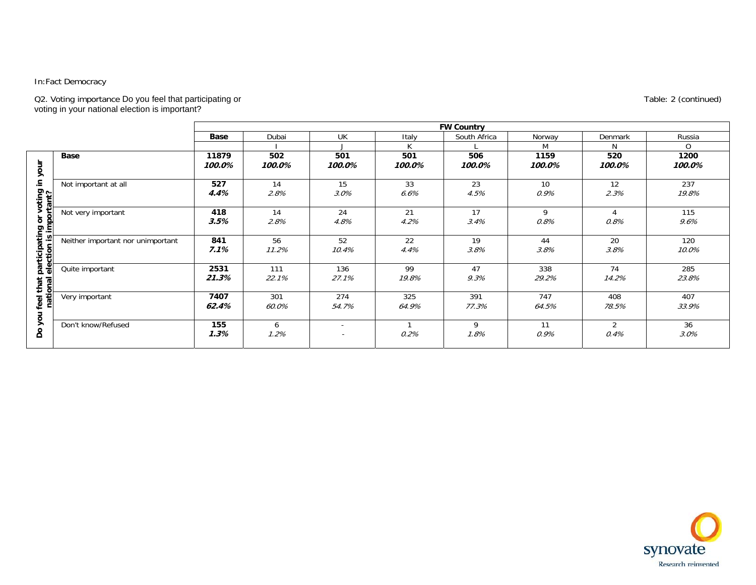#### Q2. Voting importance Do you feel that participating or voting in your national election is important?

|                                                    |                                   |                 |               |                                                      |               | <b>FW Country</b> |                |                        |                |
|----------------------------------------------------|-----------------------------------|-----------------|---------------|------------------------------------------------------|---------------|-------------------|----------------|------------------------|----------------|
|                                                    |                                   | <b>Base</b>     | Dubai         | UK                                                   | Italy         | South Africa      | Norway         | Denmark                | Russia         |
|                                                    |                                   |                 |               |                                                      | К             |                   | М              | N                      | 0              |
| your                                               | <b>Base</b>                       | 11879<br>100.0% | 502<br>100.0% | 501<br>100.0%                                        | 501<br>100.0% | 506<br>100.0%     | 1159<br>100.0% | 520<br>100.0%          | 1200<br>100.0% |
| 크.<br>voting i<br>rtant?                           | Not important at all              | 527<br>4.4%     | 14<br>2.8%    | 15<br>3.0%                                           | 33<br>6.6%    | 23<br>4.5%        | 10<br>0.9%     | 12<br>2.3%             | 237<br>19.8%   |
| $\circ$<br>$\circ$<br>$\Omega$<br>Ε                | Not very important                | 418<br>3.5%     | 14<br>2.8%    | 24<br>4.8%                                           | 21<br>4.2%    | 17<br>3.4%        | 9<br>0.8%      | $\overline{4}$<br>0.8% | 115<br>9.6%    |
| participating<br>election is imi<br>that<br>ā<br>g | Neither important nor unimportant | 841<br>7.1%     | 56<br>11.2%   | 52<br>10.4%                                          | 22<br>4.4%    | 19<br>3.8%        | 44<br>3.8%     | 20<br>3.8%             | 120<br>10.0%   |
|                                                    | Quite important                   | 2531<br>21.3%   | 111<br>22.1%  | 136<br>27.1%                                         | 99<br>19.8%   | 47<br>9.3%        | 338<br>29.2%   | 74<br>14.2%            | 285<br>23.8%   |
| nati<br>feel                                       | Very important                    | 7407<br>62.4%   | 301<br>60.0%  | 274<br>54.7%                                         | 325<br>64.9%  | 391<br>77.3%      | 747<br>64.5%   | 408<br>78.5%           | 407<br>33.9%   |
| you<br>å                                           | Don't know/Refused                | 155<br>1.3%     | 6<br>1.2%     | $\overline{\phantom{0}}$<br>$\overline{\phantom{a}}$ | 0.2%          | 9<br>1.8%         | 11<br>0.9%     | $\overline{2}$<br>0.4% | 36<br>3.0%     |



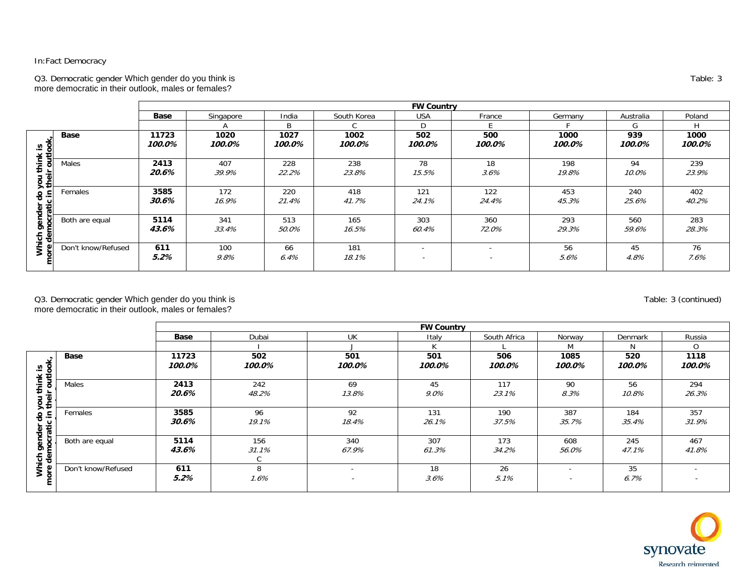Q3. Democratic gender Which gender do you think is more democratic in their outlook, males or females?

|                     |                    |                 |                |                |                | <b>FW Country</b>        |                                                      |                |               |                |
|---------------------|--------------------|-----------------|----------------|----------------|----------------|--------------------------|------------------------------------------------------|----------------|---------------|----------------|
|                     |                    | Base            | Singapore      | India          | South Korea    | <b>USA</b>               | France                                               | Germany        | Australia     | Poland         |
|                     |                    |                 |                | B.             |                | D                        |                                                      |                | G             | H              |
| g<br>.≌             | <b>Base</b>        | 11723<br>100.0% | 1020<br>100.0% | 1027<br>100.0% | 1002<br>100.0% | 502<br>100.0%            | 500<br>100.0%                                        | 1000<br>100.0% | 939<br>100.0% | 1000<br>100.0% |
| ≖<br>로 요<br>5∓      | <b>Males</b>       | 2413<br>20.6%   | 407<br>39.9%   | 228<br>22.2%   | 238<br>23.8%   | 78<br>15.5%              | 18<br>3.6%                                           | 198<br>19.8%   | 94<br>10.0%   | 239<br>23.9%   |
| 응<br>Φ<br>Φ<br>Ō    | Females            | 3585<br>30.6%   | 172<br>16.9%   | 220<br>21.4%   | 418<br>41.7%   | 121<br>24.1%             | 122<br>24.4%                                         | 453<br>45.3%   | 240<br>25.6%  | 402<br>40.2%   |
| ō<br>တား<br>ខ<br>T. | Both are equal     | 5114<br>43.6%   | 341<br>33.4%   | 513<br>50.0%   | 165<br>16.5%   | 303<br>60.4%             | 360<br>72.0%                                         | 293<br>29.3%   | 560<br>59.6%  | 283<br>28.3%   |
|                     | Don't know/Refused | 611<br>5.2%     | 100<br>9.8%    | 66<br>6.4%     | 181<br>18.1%   | $\overline{\phantom{a}}$ | $\overline{\phantom{a}}$<br>$\overline{\phantom{a}}$ | 56<br>5.6%     | 45<br>4.8%    | 76<br>$7.6\%$  |

Q3. Democratic gender Which gender do you think is more democratic in their outlook, males or females?

|                               |                    |                 |                   |                                                      | <b>FW Country</b> |               |                                                      |               |                          |
|-------------------------------|--------------------|-----------------|-------------------|------------------------------------------------------|-------------------|---------------|------------------------------------------------------|---------------|--------------------------|
|                               |                    | Base            | Dubai             | <b>UK</b>                                            | Italy             | South Africa  | Norway                                               | Denmark       | Russia                   |
|                               |                    |                 |                   |                                                      |                   |               | M                                                    | N             | $\Omega$                 |
| k is<br>tlook,                | Base               | 11723<br>100.0% | 502<br>100.0%     | 501<br>100.0%                                        | 501<br>100.0%     | 506<br>100.0% | 1085<br>100.0%                                       | 520<br>100.0% | 1118<br>100.0%           |
| think<br>ह<br>you tl<br>their | Males              | 2413<br>20.6%   | 242<br>48.2%      | 69<br>13.8%                                          | 45<br>$9.0\%$     | 117<br>23.1%  | 90<br>8.3%                                           | 56<br>10.8%   | 294<br>26.3%             |
| gender do y                   | Females            | 3585<br>30.6%   | 96<br>19.1%       | 92<br>18.4%                                          | 131<br>26.1%      | 190<br>37.5%  | 387<br>35.7%                                         | 184<br>35.4%  | 357<br>31.9%             |
| iich gen<br>democi            | Both are equal     | 5114<br>43.6%   | 156<br>31.1%<br>C | 340<br>67.9%                                         | 307<br>61.3%      | 173<br>34.2%  | 608<br>56.0%                                         | 245<br>47.1%  | 467<br>41.8%             |
| Whi<br>more                   | Don't know/Refused | 611<br>5.2%     | 8<br>1.6%         | $\overline{\phantom{0}}$<br>$\overline{\phantom{a}}$ | 18<br>3.6%        | 26<br>5.1%    | $\overline{\phantom{a}}$<br>$\overline{\phantom{a}}$ | 35<br>6.7%    | $\overline{\phantom{0}}$ |

Table: 3

synovate Research reinvented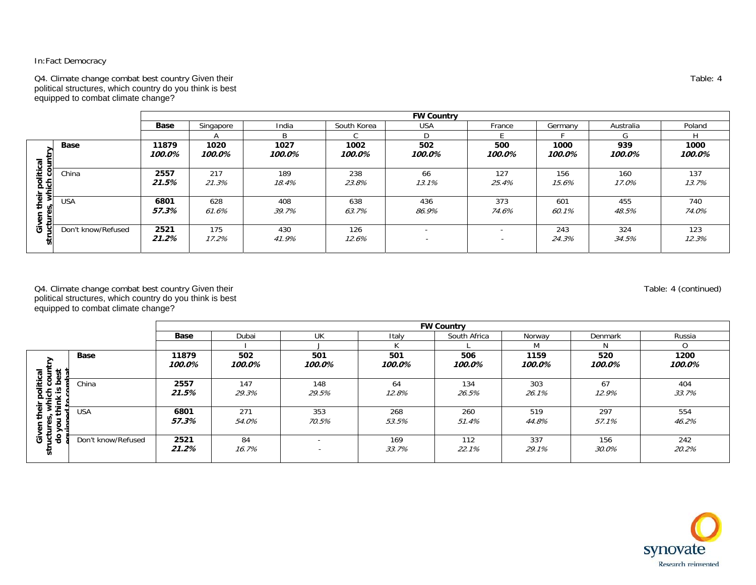Q4. Climate change combat best country Given their political structures, which country do you think is best equipped to combat climate change?

|                                 |                    |                 | <b>FW Country</b> |                |                |                                                      |                          |                |               |                |  |
|---------------------------------|--------------------|-----------------|-------------------|----------------|----------------|------------------------------------------------------|--------------------------|----------------|---------------|----------------|--|
|                                 |                    | Base            | Singapore         | India          | South Korea    | <b>USA</b>                                           | France                   | Germany        | Australia     | Poland         |  |
|                                 |                    |                 |                   | R.             |                |                                                      |                          |                |               |                |  |
| ಕ                               | <b>Base</b>        | 11879<br>100.0% | 1020<br>100.0%    | 1027<br>100.0% | 1002<br>100.0% | 502<br>100.0%                                        | 500<br>100.0%            | 1000<br>100.0% | 939<br>100.0% | 1000<br>100.0% |  |
| <u>ي</u><br>≝<br><u>&amp; 5</u> | China              | 2557<br>21.5%   | 217<br>21.3%      | 189<br>18.4%   | 238<br>23.8%   | 66<br>13.1%                                          | 127<br>25.4%             | 156<br>15.6%   | 160<br>17.0%  | 137<br>13.7%   |  |
| ÷                               | <b>USA</b>         | 6801<br>57.3%   | 628<br>61.6%      | 408<br>39.7%   | 638<br>63.7%   | 436<br>86.9%                                         | 373<br>74.6%             | 601<br>60.1%   | 455<br>48.5%  | 740<br>74.0%   |  |
| O                               | Don't know/Refused | 2521<br>21.2%   | 175<br>17.2%      | 430<br>41.9%   | 126<br>12.6%   | $\overline{\phantom{0}}$<br>$\overline{\phantom{a}}$ | $\overline{\phantom{0}}$ | 243<br>24.3%   | 324<br>34.5%  | 123<br>12.3%   |  |

Q4. Climate change combat best country Given their political structures, which country do you think is best equipped to combat climate change?

|                                                     |                    | <b>FW Country</b> |               |                                                      |               |               |                |               |                |
|-----------------------------------------------------|--------------------|-------------------|---------------|------------------------------------------------------|---------------|---------------|----------------|---------------|----------------|
|                                                     |                    | Base              | Dubai         | UK                                                   | Italy         | South Africa  | Norway         | Denmark       | Russia         |
|                                                     |                    |                   |               |                                                      |               |               | M              |               |                |
| ⋗                                                   | Base               | 11879<br>100.0%   | 502<br>100.0% | 501<br>100.0%                                        | 501<br>100.0% | 506<br>100.0% | 1159<br>100.0% | 520<br>100.0% | 1200<br>100.0% |
| political<br>ich count<br>k is best<br>think<br>능 중 | China              | 2557<br>21.5%     | 147<br>29.3%  | 148<br>29.5%                                         | 64<br>12.8%   | 134<br>26.5%  | 303<br>26.1%   | 67<br>12.9%   | 404<br>33.7%   |
| £<br>5<br>$\circ$<br>⋾<br>><br>مسد                  | <b>USA</b>         | 6801<br>57.3%     | 271<br>54.0%  | 353<br>70.5%                                         | 268<br>53.5%  | 260<br>51.4%  | 519<br>44.8%   | 297<br>57.1%  | 554<br>46.2%   |
| 응<br>5<br>ن َ<br>᠊╦                                 | Don't know/Refused | 2521<br>21.2%     | 84<br>16.7%   | $\overline{\phantom{a}}$<br>$\overline{\phantom{0}}$ | 169<br>33.7%  | 112<br>22.1%  | 337<br>29.1%   | 156<br>30.0%  | 242<br>20.2%   |

Table: 4

Table: 4 (continued)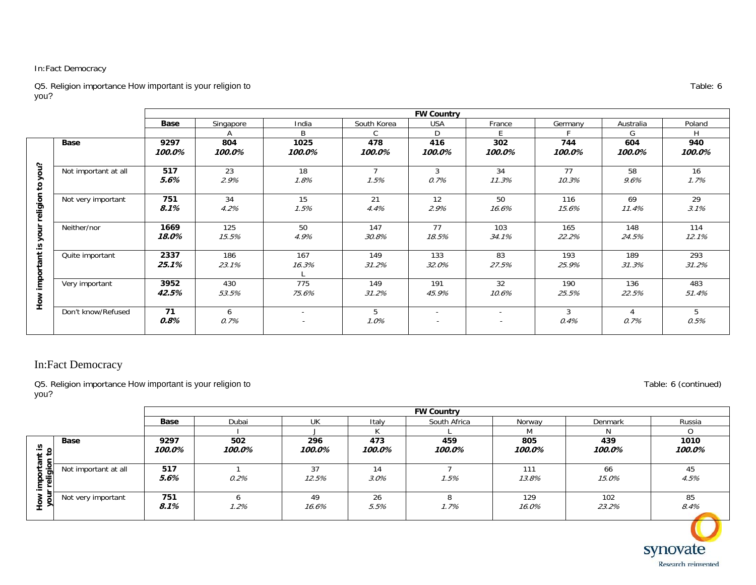Q5. Religion importance How important is your religion to you?

|                      |                      | <b>FW Country</b> |               |                                                      |               |                                            |                          |               |               |               |
|----------------------|----------------------|-------------------|---------------|------------------------------------------------------|---------------|--------------------------------------------|--------------------------|---------------|---------------|---------------|
|                      |                      | <b>Base</b>       | Singapore     | India                                                | South Korea   | <b>USA</b>                                 | France                   | Germany       | Australia     | Poland        |
|                      |                      |                   |               | B                                                    |               | D                                          | E                        |               | G             | н             |
|                      | Base                 | 9297<br>100.0%    | 804<br>100.0% | 1025<br>100.0%                                       | 478<br>100.0% | 416<br>100.0%                              | 302<br>100.0%            | 744<br>100.0% | 604<br>100.0% | 940<br>100.0% |
| you?<br>$\mathtt{S}$ | Not important at all | 517<br>5.6%       | 23<br>2.9%    | 18<br>1.8%                                           | 1.5%          | 3<br>0.7%                                  | 34<br>11.3%              | 77<br>10.3%   | 58<br>9.6%    | 16<br>1.7%    |
| religion             | Not very important   | 751<br>8.1%       | 34<br>4.2%    | 15<br>1.5%                                           | 21<br>4.4%    | 12<br>2.9%                                 | 50<br>16.6%              | 116<br>15.6%  | 69<br>11.4%   | 29<br>3.1%    |
| your<br>≅.           | Neither/nor          | 1669<br>18.0%     | 125<br>15.5%  | 50<br>4.9%                                           | 147<br>30.8%  | 77<br>18.5%                                | 103<br>34.1%             | 165<br>22.2%  | 148<br>24.5%  | 114<br>12.1%  |
| important            | Quite important      | 2337<br>25.1%     | 186<br>23.1%  | 167<br>16.3%                                         | 149<br>31.2%  | 133<br>32.0%                               | 83<br>27.5%              | 193<br>25.9%  | 189<br>31.3%  | 293<br>31.2%  |
| How                  | Very important       | 3952<br>42.5%     | 430<br>53.5%  | 775<br>75.6%                                         | 149<br>31.2%  | 191<br>45.9%                               | 32<br>10.6%              | 190<br>25.5%  | 136<br>22.5%  | 483<br>51.4%  |
|                      | Don't know/Refused   | 71<br>0.8%        | 6<br>0.7%     | $\overline{\phantom{a}}$<br>$\overline{\phantom{a}}$ | 5<br>1.0%     | $\overline{\phantom{a}}$<br>$\overline{a}$ | $\overline{\phantom{a}}$ | 3<br>0.4%     | 0.7%          | 5<br>0.5%     |

# In:Fact Democracy

Q5. Religion importance How important is your religion to you?

|                                   |                |               |               |               | <b>FW Country</b> |               |               |                |
|-----------------------------------|----------------|---------------|---------------|---------------|-------------------|---------------|---------------|----------------|
|                                   | Base           | Dubai         | UK            | Italy         | South Africa      | Norway        | Denmark       | Russia         |
|                                   |                |               |               |               |                   | M             |               |                |
| Base<br>.≌                        | 9297<br>100.0% | 502<br>100.0% | 296<br>100.0% | 473<br>100.0% | 459<br>100.0%     | 805<br>100.0% | 439<br>100.0% | 1010<br>100.0% |
| Not important at all<br>. ∸<br>60 | 517<br>5.6%    | 0.2%          | 37<br>12.5%   | 14<br>$3.0\%$ | 1.5%              | 111<br>13.8%  | 66<br>15.0%   | 45<br>4.5%     |
| Not very important                | 751<br>8.1%    | 1.2%          | 49<br>16.6%   | 26<br>5.5%    | 1.7%              | 129<br>16.0%  | 102<br>23.2%  | 85<br>8.4%     |
|                                   |                |               |               |               |                   |               |               |                |



Table: 6 (continued)

synovate

Research reinvented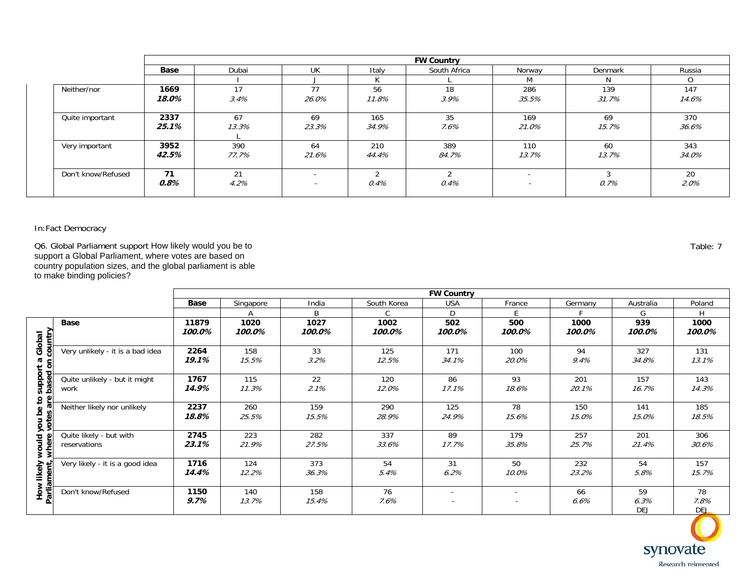| <b>FW Country</b> |       |                          |       |              |                          |         |        |
|-------------------|-------|--------------------------|-------|--------------|--------------------------|---------|--------|
| Base              | Dubai | <b>UK</b>                | Italy | South Africa | Norway                   | Denmark | Russia |
|                   |       |                          |       |              | M                        | N       | Ω      |
| 1669              | 17    | 77                       | 56    | 18           | 286                      | 139     | 147    |
| 18.0%             | 3.4%  | 26.0%                    | 11.8% | 3.9%         | 35.5%                    | 31.7%   | 14.6%  |
| 2337              | 67    | 69                       | 165   | 35           | 169                      | 69      | 370    |
| 25.1%             | 13.3% | 23.3%                    | 34.9% | 7.6%         | 21.0%                    | 15.7%   | 36.6%  |
| 3952              | 390   | 64                       | 210   | 389          | 110                      | 60      | 343    |
| 42.5%             | 77.7% | 21.6%                    | 44.4% | 84.7%        | 13.7%                    | 13.7%   | 34.0%  |
| 71                | 21    | $\overline{\phantom{0}}$ |       |              | $\overline{\phantom{a}}$ |         | 20     |
| 0.8%              | 4.2%  | $\overline{\phantom{0}}$ | 0.4%  | 0.4%         | $\overline{\phantom{a}}$ | 0.7%    | 2.0%   |
|                   |       |                          |       |              |                          |         |        |

Q6. Global Parliament support How likely would you be to support a Global Parliament, where votes are based on country population sizes, and the global parliament is able to make binding policies?

**FW Country Base |** Singapore | India | South-Korea | USA | France | Germany | Australia | Poland DAA I B I C D E FFIGH **Base 11879 1020 1027 1002 502 500 1000 939 1000 , where votes are based on country 100.0% 100.0% 100.0% 100.0% 100.0% 100.0% 100.0% 100.0% 100.0%** support a Global<br>based on country **How likely would you be to support a Global**  Very unlikely - it is a bad idea **2264**  158 33 125 171 100 94 327 131 **19.1%** 15.5% 3.2% 12.5% 34.1% 20.0% 9.4% 34.8% 13.1% Quite unlikely - but it might **1767** 115 22 120 86 93 201 157 143 work 2.1% 17.1% 18.6% 20.1% 14.3% **14.9%**  11.3% 12.0% 16.7% How likely would you be to :<br>Parliament, where votes are Neither likely nor unlikely **2237**  260 159 290 125 78 150 141 185 **18.8%**  25.5% 15.5% 28.9% 24.9% 15.6% 15.0% 15.0% 18.5% Quite likely - but with **2745** 223 282 337 89 179 257 201 306 **23.1%**  21.9% 27.5% 17.7% 35.8% 25.7% 21.4% 30.6% reservations 33.6% Very likely - it is a good idea **1716**  124 373 54 31 50 232 54 157 **Parliament 14.4%**  12.2% 36.3% 5.4% 6.2% 10.0% 23.2% 5.8% 15.7% Don't know/Refused **1150** 140 158 76 66 59 78 - - **9.7%** 7.6% 6.3% 7.8% 13.7% 15.4% 6.6% - - DEJ DEJ



Table: 7